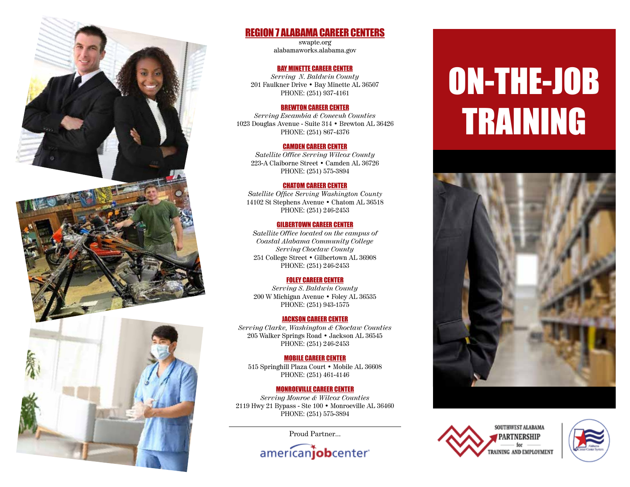

### REGION 7 ALABAMA CAREER CENTERS

swapte.org alabamaworks.alabama.gov

#### BAY MINETTE CAREER CENTER

*Serving N. Baldwin County* 201 Faulkner Drive • Bay Minette AL 36507 PHONE: (251) 937-4161

#### BREWTON CAREER CENTER

*Serving Escambia & Conecuh Counties* 1023 Douglas Avenue - Suite 314 • Brewton AL 36426 PHONE: (251) 867-4376

#### CAMDEN CAREER CENTER

*Satellite Office Serving Wilcox County* 223-A Claiborne Street • Camden AL 36726 PHONE: (251) 575-3894

#### CHATOM CAREER CENTER

*Satellite Office Serving Washington County* 14102 St Stephens Avenue • Chatom AL 36518 PHONE: (251) 246-2453

#### GILBERTOWN CAREER CENTER

*Satellite Office located on the campus of Coastal Alabama Community College Serving Choctaw County* 251 College Street • Gilbertown AL 36908 PHONE: (251) 246-2453

#### FOLEY CAREER CENTER

*Serving S. Baldwin County* 200 W Michigan Avenue • Foley AL 36535 PHONE: (251) 943-1575

#### JACKSON CAREER CENTER

*Serving Clarke, Washington & Choctaw Counties* 205 Walker Springs Road • Jackson AL 36545 PHONE: (251) 246-2453

#### MOBILE CAREER CENTER

515 Springhill Plaza Court • Mobile AL 36608 PHONE: (251) 461-4146

#### MONROEVILLE CAREER CENTER

*Serving Monroe & Wilcox Counties* 2119 Hwy 21 Bypass - Ste 100 • Monroeville AL 36460 PHONE: (251) 575-3894

Proud Partner...



# ON-THE-JOB TRAINING